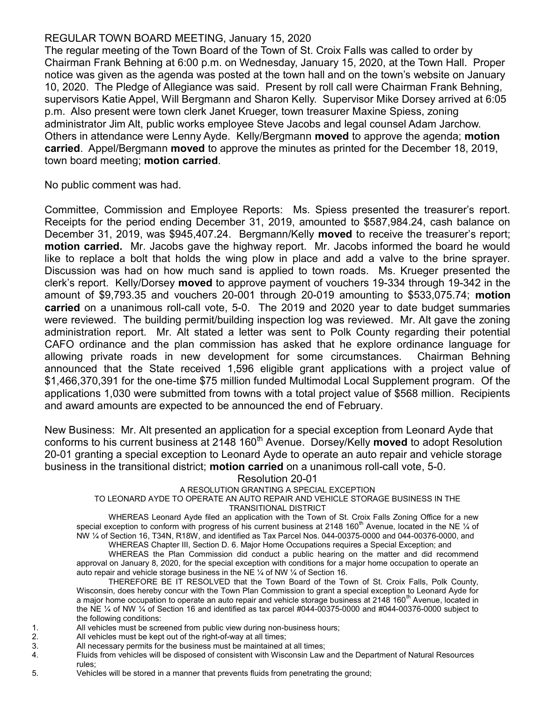## REGULAR TOWN BOARD MEETING, January 15, 2020

The regular meeting of the Town Board of the Town of St. Croix Falls was called to order by Chairman Frank Behning at 6:00 p.m. on Wednesday, January 15, 2020, at the Town Hall. Proper notice was given as the agenda was posted at the town hall and on the town's website on January 10, 2020. The Pledge of Allegiance was said. Present by roll call were Chairman Frank Behning, supervisors Katie Appel, Will Bergmann and Sharon Kelly. Supervisor Mike Dorsey arrived at 6:05 p.m. Also present were town clerk Janet Krueger, town treasurer Maxine Spiess, zoning administrator Jim Alt, public works employee Steve Jacobs and legal counsel Adam Jarchow. Others in attendance were Lenny Ayde. Kelly/Bergmann moved to approve the agenda; motion carried. Appel/Bergmann moved to approve the minutes as printed for the December 18, 2019, town board meeting; motion carried.

No public comment was had.

Committee, Commission and Employee Reports: Ms. Spiess presented the treasurer's report. Receipts for the period ending December 31, 2019, amounted to \$587,984.24, cash balance on December 31, 2019, was \$945,407.24. Bergmann/Kelly moved to receive the treasurer's report; motion carried. Mr. Jacobs gave the highway report. Mr. Jacobs informed the board he would like to replace a bolt that holds the wing plow in place and add a valve to the brine sprayer. Discussion was had on how much sand is applied to town roads. Ms. Krueger presented the clerk's report. Kelly/Dorsey moved to approve payment of vouchers 19-334 through 19-342 in the amount of \$9,793.35 and vouchers 20-001 through 20-019 amounting to  $$533,075.74$ ; motion carried on a unanimous roll-call vote, 5-0. The 2019 and 2020 year to date budget summaries were reviewed. The building permit/building inspection log was reviewed. Mr. Alt gave the zoning administration report. Mr. Alt stated a letter was sent to Polk County regarding their potential CAFO ordinance and the plan commission has asked that he explore ordinance language for allowing private roads in new development for some circumstances. Chairman Behning announced that the State received 1,596 eligible grant applications with a project value of \$1,466,370,391 for the one-time \$75 million funded Multimodal Local Supplement program. Of the applications 1,030 were submitted from towns with a total project value of \$568 million. Recipients and award amounts are expected to be announced the end of February.

New Business: Mr. Alt presented an application for a special exception from Leonard Ayde that conforms to his current business at 2148 160<sup>th</sup> Avenue. Dorsey/Kelly **moved** to adopt Resolution 20-01 granting a special exception to Leonard Ayde to operate an auto repair and vehicle storage business in the transitional district; motion carried on a unanimous roll-call vote, 5-0.

Resolution 20-01

## A RESOLUTION GRANTING A SPECIAL EXCEPTION

TO LEONARD AYDE TO OPERATE AN AUTO REPAIR AND VEHICLE STORAGE BUSINESS IN THE

TRANSITIONAL DISTRICT

WHEREAS Leonard Ayde filed an application with the Town of St. Croix Falls Zoning Office for a new special exception to conform with progress of his current business at 2148 160<sup>th</sup> Avenue, located in the NE  $\frac{1}{4}$  of NW ¼ of Section 16, T34N, R18W, and identified as Tax Parcel Nos. 044-00375-0000 and 044-00376-0000, and WHEREAS Chapter III, Section D. 6. Major Home Occupations requires a Special Exception; and

WHEREAS the Plan Commission did conduct a public hearing on the matter and did recommend approval on January 8, 2020, for the special exception with conditions for a major home occupation to operate an auto repair and vehicle storage business in the NE ¼ of NW ¼ of Section 16.

THEREFORE BE IT RESOLVED that the Town Board of the Town of St. Croix Falls, Polk County, Wisconsin, does hereby concur with the Town Plan Commission to grant a special exception to Leonard Ayde for a major home occupation to operate an auto repair and vehicle storage business at 2148 160<sup>th</sup> Avenue, located in the NE ¼ of NW ¼ of Section 16 and identified as tax parcel #044-00375-0000 and #044-00376-0000 subject to the following conditions:

- 1. All vehicles must be screened from public view during non-business hours;
- 2. All vehicles must be kept out of the right-of-way at all times;
- 3. All necessary permits for the business must be maintained at all times;
- 4. Fluids from vehicles will be disposed of consistent with Wisconsin Law and the Department of Natural Resources rules;
- 5. Vehicles will be stored in a manner that prevents fluids from penetrating the ground;